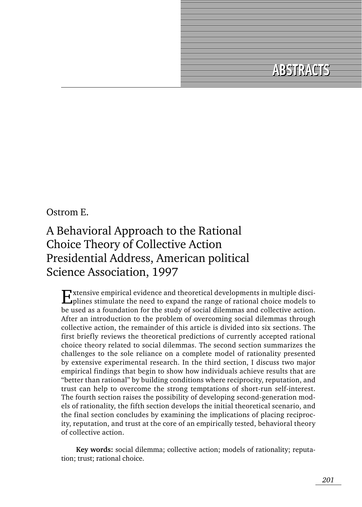# **ABSTRACTS ABSTRACTS**

#### Ostrom E.

# A Behavioral Approach to the Rational Choice Theory of Collective Action Presidential Address, American political Science Association, 1997

Extensive empirical evidence and theoretical developments in multiple disci-plines stimulate the need to expand the range of rational choice models to be used as a foundation for the study of social dilemmas and collective action. After an introduction to the problem of overcoming social dilemmas through collective action, the remainder of this article is divided into six sections. The first briefly reviews the theoretical predictions of currently accepted rational choice theory related to social dilemmas. The second section summarizes the challenges to the sole reliance on a complete model of rationality presented by extensive experimental research. In the third section, I discuss two major empirical findings that begin to show how individuals achieve results that are "better than rational" by building conditions where reciprocity, reputation, and trust can help to overcome the strong temptations of short-run self-interest. The fourth section raises the possibility of developing second-generation models of rationality, the fifth section develops the initial theoretical scenario, and the final section concludes by examining the implications of placing reciprocity, reputation, and trust at the core of an empirically tested, behavioral theory of collective action.

**Key words:** social dilemma; collective action; models of rationality; reputation; trust; rational choice.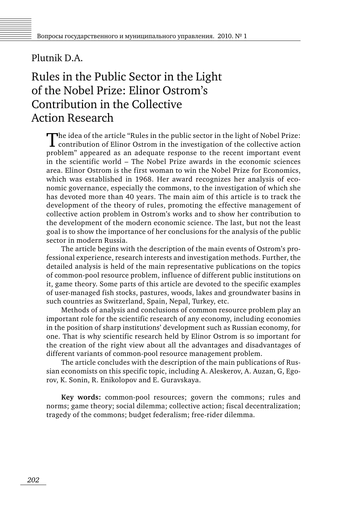#### Plutnik D.A.

### Rules in the Public Sector in the Light of the Nobel Prize: Elinor Ostrom's Contribution in the Collective Action Research

The idea of the article "Rules in the public sector in the light of Nobel Prize:<br>contribution of Elinor Ostrom in the investigation of the collective action problem" appeared as an adequate response to the recent important event in the scientific world – The Nobel Prize awards in the economic sciences area. Elinor Ostrom is the first woman to win the Nobel Prize for Economics, which was established in 1968. Her award recognizes her analysis of economic governance, especially the commons, to the investigation of which she has devoted more than 40 years. The main aim of this article is to track the development of the theory of rules, promoting the effective management of collective action problem in Ostrom's works and to show her contribution to the development of the modern economic science. The last, but not the least goal is to show the importance of her conclusions for the analysis of the public sector in modern Russia.

The article begins with the description of the main events of Ostrom's professional experience, research interests and investigation methods. Further, the detailed analysis is held of the main representative publications on the topics of common-pool resource problem, influence of different public institutions on it, game theory. Some parts of this article are devoted to the specific examples of user-managed fish stocks, pastures, woods, lakes and groundwater basins in such countries as Switzerland, Spain, Nepal, Turkey, etc.

Methods of analysis and conclusions of common resource problem play an important role for the scientific research of any economy, including economies in the position of sharp institutions' development such as Russian economy, for one. That is why scientific research held by Elinor Ostrom is so important for the creation of the right view about all the advantages and disadvantages of different variants of common-pool resource management problem.

The article concludes with the description of the main publications of Russian economists on this specific topic, including A. Aleskerov, A. Auzan, G, Egorov, K. Sonin, R. Enikolopov and E. Guravskaya.

**Key words:** common-pool resources; govern the commons; rules and norms; game theory; social dilemma; collective action; fiscal decentralization; tragedy of the commons; budget federalism; free-rider dilemma.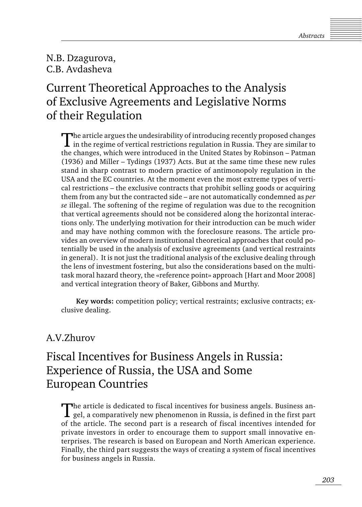N.B. Dzagurova, C.B. Avdasheva

## Current Theoretical Approaches to the Analysis of Exclusive Agreements and Legislative Norms of their Regulation

The article argues the undesirability of introducing recently proposed changes in the regime of vertical restrictions regulation in Russia. They are similar to the changes, which were introduced in the United States by Robinson – Patman (1936) and Miller – Tydings (1937) Acts. But at the same time these new rules stand in sharp contrast to modern practice of antimonopoly regulation in the USA and the EC countries. At the moment even the most extreme types of vertical restrictions – the exclusive contracts that prohibit selling goods or acquiring them from any but the contracted side – are not automatically condemned as *per se* illegal. The softening of the regime of regulation was due to the recognition that vertical agreements should not be considered along the horizontal interactions only. The underlying motivation for their introduction can be much wider and may have nothing common with the foreclosure reasons. The article provides an overview of modern institutional theoretical approaches that could potentially be used in the analysis of exclusive agreements (and vertical restraints in general). It is not just the traditional analysis of the exclusive dealing through the lens of investment fostering, but also the considerations based on the multitask moral hazard theory, the «reference point» approach [Hart and Moor 2008] and vertical integration theory of Baker, Gibbons and Murthy.

**Key words:** competition policy; vertical restraints; exclusive contracts; exclusive dealing.

#### A.V.Zhurov

## Fiscal Incentives for Business Angels in Russia: Experience of Russia, the USA and Some European Countries

The article is dedicated to fiscal incentives for business angels. Business angel, a comparatively new phenomenon in Russia, is defined in the first part of the article. The second part is a research of fiscal incentives intended for private investors in order to encourage them to support small innovative enterprises. The research is based on European and North American experience. Finally, the third part suggests the ways of creating a system of fiscal incentives for business angels in Russia.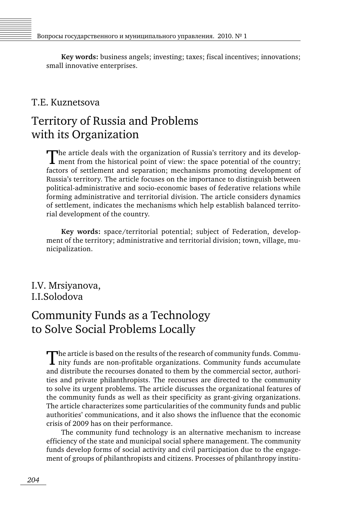**Key words:** business angels; investing; taxes; fiscal incentives; innovations; small innovative enterprises.

#### T.E. Kuznetsova

### Territory of Russia and Problems with its Organization

The article deals with the organization of Russia's territory and its develop- $\blacksquare$  ment from the historical point of view: the space potential of the country; factors of settlement and separation; mechanisms promoting development of Russia's territory. The article focuses on the importance to distinguish between political-administrative and socio-economic bases of federative relations while forming administrative and territorial division. The article considers dynamics of settlement, indicates the mechanisms which help establish balanced territorial development of the country.

**Key words:** space/territorial potential; subject of Federation, development of the territory; administrative and territorial division; town, village, municipalization.

#### I.V. Mrsiyanova, I.I.Solodova

### Community Funds as a Technology to Solve Social Problems Locally

The article is based on the results of the research of community funds. Community funds are non-profitable organizations. Community funds accumulate and distribute the recourses donated to them by the commercial sector, authorities and private philanthropists. The recourses are directed to the community to solve its urgent problems. The article discusses the organizational features of the community funds as well as their specificity as grant-giving organizations. The article characterizes some particularities of the community funds and public authorities' communications, and it also shows the influence that the economic crisis of 2009 has on their performance.

The community fund technology is an alternative mechanism to increase efficiency of the state and municipal social sphere management. The community funds develop forms of social activity and civil participation due to the engagement of groups of philanthropists and citizens. Processes of philanthropy institu